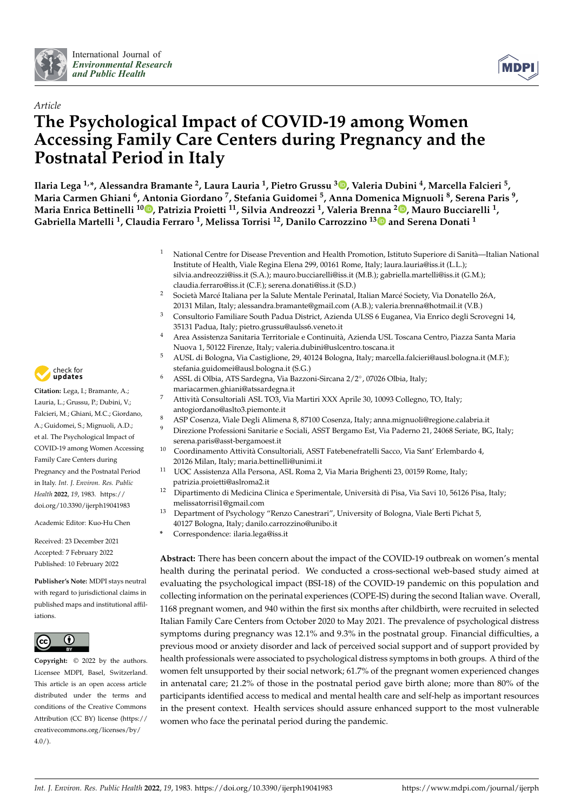



# *Article* **The Psychological Impact of COVID-19 among Women Accessing Family Care Centers during Pregnancy and the Postnatal Period in Italy**

**Ilaria Lega 1,\*, Alessandra Bramante <sup>2</sup> , Laura Lauria <sup>1</sup> , Pietro Grussu <sup>3</sup> [,](https://orcid.org/0000-0002-3922-8921) Valeria Dubini <sup>4</sup> , Marcella Falcieri <sup>5</sup> , Maria Carmen Ghiani <sup>6</sup> , Antonia Giordano <sup>7</sup> , Stefania Guidomei <sup>5</sup> , Anna Domenica Mignuoli <sup>8</sup> , Serena Paris <sup>9</sup> , Maria Enrica Bettinelli <sup>10</sup> [,](https://orcid.org/0000-0002-3317-5929) Patrizia Proietti <sup>11</sup>, Silvia Andreozzi <sup>1</sup> , Valeria Brenna <sup>2</sup> [,](https://orcid.org/0000-0001-9255-4227) Mauro Bucciarelli <sup>1</sup> , Gabriella Martelli <sup>1</sup> , Claudia Ferraro <sup>1</sup> , Melissa Torrisi <sup>12</sup>, Danilo Carrozzino 1[3](https://orcid.org/0000-0002-8164-8671) and Serena Donati <sup>1</sup>**

- <sup>1</sup> National Centre for Disease Prevention and Health Promotion, Istituto Superiore di Sanità—Italian National Institute of Health, Viale Regina Elena 299, 00161 Rome, Italy; laura.lauria@iss.it (L.L.); silvia.andreozzi@iss.it (S.A.); mauro.bucciarelli@iss.it (M.B.); gabriella.martelli@iss.it (G.M.); claudia.ferraro@iss.it (C.F.); serena.donati@iss.it (S.D.)
- <sup>2</sup> Società Marcé Italiana per la Salute Mentale Perinatal, Italian Marcé Society, Via Donatello 26A, 20131 Milan, Italy; alessandra.bramante@gmail.com (A.B.); valeria.brenna@hotmail.it (V.B.)
- <sup>3</sup> Consultorio Familiare South Padua District, Azienda ULSS 6 Euganea, Via Enrico degli Scrovegni 14, 35131 Padua, Italy; pietro.grussu@aulss6.veneto.it
- <sup>4</sup> Area Assistenza Sanitaria Territoriale e Continuità, Azienda USL Toscana Centro, Piazza Santa Maria Nuova 1, 50122 Firenze, Italy; valeria.dubini@uslcentro.toscana.it
- <sup>5</sup> AUSL di Bologna, Via Castiglione, 29, 40124 Bologna, Italy; marcella.falcieri@ausl.bologna.it (M.F.); stefania.guidomei@ausl.bologna.it (S.G.)
- <sup>6</sup> ASSL di Olbia, ATS Sardegna, Via Bazzoni-Sircana 2/2◦ , 07026 Olbia, Italy; mariacarmen.ghiani@atssardegna.it
- <sup>7</sup> Attività Consultoriali ASL TO3, Via Martiri XXX Aprile 30, 10093 Collegno, TO, Italy; antogiordano@aslto3.piemonte.it
- 8 ASP Cosenza, Viale Degli Alimena 8, 87100 Cosenza, Italy; anna.mignuoli@regione.calabria.it<br>9 Diversione Brafassioni Sanitaria e Sociali, ASST Barcamo Fet Via Badarno 21, 24068 Sariata BC
- <sup>9</sup> Direzione Professioni Sanitarie e Sociali, ASST Bergamo Est, Via Paderno 21, 24068 Seriate, BG, Italy; serena.paris@asst-bergamoest.it
- <sup>10</sup> Coordinamento Attività Consultoriali, ASST Fatebenefratelli Sacco, Via Sant' Erlembardo 4, 20126 Milan, Italy; maria.bettinelli@unimi.it
- <sup>11</sup> UOC Assistenza Alla Persona, ASL Roma 2, Via Maria Brighenti 23, 00159 Rome, Italy; patrizia.proietti@aslroma2.it
- <sup>12</sup> Dipartimento di Medicina Clinica e Sperimentale, Università di Pisa, Via Savi 10, 56126 Pisa, Italy; melissatorrisi1@gmail.com
- <sup>13</sup> Department of Psychology "Renzo Canestrari", University of Bologna, Viale Berti Pichat 5, 40127 Bologna, Italy; danilo.carrozzino@unibo.it
- **\*** Correspondence: ilaria.lega@iss.it

**Abstract:** There has been concern about the impact of the COVID-19 outbreak on women's mental health during the perinatal period. We conducted a cross-sectional web-based study aimed at evaluating the psychological impact (BSI-18) of the COVID-19 pandemic on this population and collecting information on the perinatal experiences (COPE-IS) during the second Italian wave. Overall, 1168 pregnant women, and 940 within the first six months after childbirth, were recruited in selected Italian Family Care Centers from October 2020 to May 2021. The prevalence of psychological distress symptoms during pregnancy was 12.1% and 9.3% in the postnatal group. Financial difficulties, a previous mood or anxiety disorder and lack of perceived social support and of support provided by health professionals were associated to psychological distress symptoms in both groups. A third of the women felt unsupported by their social network; 61.7% of the pregnant women experienced changes in antenatal care; 21.2% of those in the postnatal period gave birth alone; more than 80% of the participants identified access to medical and mental health care and self-help as important resources in the present context. Health services should assure enhanced support to the most vulnerable women who face the perinatal period during the pandemic.



**Citation:** Lega, I.; Bramante, A.; Lauria, L.; Grussu, P.; Dubini, V.; Falcieri, M.; Ghiani, M.C.; Giordano, A.; Guidomei, S.; Mignuoli, A.D.; et al. The Psychological Impact of COVID-19 among Women Accessing Family Care Centers during Pregnancy and the Postnatal Period in Italy. *Int. J. Environ. Res. Public Health* **2022**, *19*, 1983. [https://](https://doi.org/10.3390/ijerph19041983) [doi.org/10.3390/ijerph19041983](https://doi.org/10.3390/ijerph19041983)

Academic Editor: Kuo-Hu Chen

Received: 23 December 2021 Accepted: 7 February 2022 Published: 10 February 2022

**Publisher's Note:** MDPI stays neutral with regard to jurisdictional claims in published maps and institutional affiliations.



**Copyright:** © 2022 by the authors. Licensee MDPI, Basel, Switzerland. This article is an open access article distributed under the terms and conditions of the Creative Commons Attribution (CC BY) license [\(https://](https://creativecommons.org/licenses/by/4.0/) [creativecommons.org/licenses/by/](https://creativecommons.org/licenses/by/4.0/)  $4.0/$ ).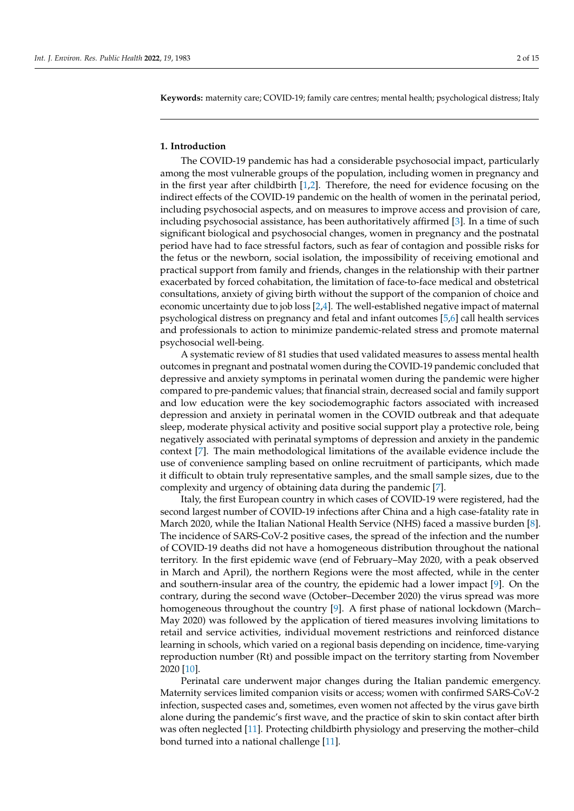**Keywords:** maternity care; COVID-19; family care centres; mental health; psychological distress; Italy

# **1. Introduction**

The COVID-19 pandemic has had a considerable psychosocial impact, particularly among the most vulnerable groups of the population, including women in pregnancy and in the first year after childbirth  $[1,2]$  $[1,2]$ . Therefore, the need for evidence focusing on the indirect effects of the COVID-19 pandemic on the health of women in the perinatal period, including psychosocial aspects, and on measures to improve access and provision of care, including psychosocial assistance, has been authoritatively affirmed [\[3\]](#page-12-2). In a time of such significant biological and psychosocial changes, women in pregnancy and the postnatal period have had to face stressful factors, such as fear of contagion and possible risks for the fetus or the newborn, social isolation, the impossibility of receiving emotional and practical support from family and friends, changes in the relationship with their partner exacerbated by forced cohabitation, the limitation of face-to-face medical and obstetrical consultations, anxiety of giving birth without the support of the companion of choice and economic uncertainty due to job loss [\[2](#page-12-1)[,4\]](#page-12-3). The well-established negative impact of maternal psychological distress on pregnancy and fetal and infant outcomes [\[5](#page-12-4)[,6\]](#page-12-5) call health services and professionals to action to minimize pandemic-related stress and promote maternal psychosocial well-being.

A systematic review of 81 studies that used validated measures to assess mental health outcomes in pregnant and postnatal women during the COVID-19 pandemic concluded that depressive and anxiety symptoms in perinatal women during the pandemic were higher compared to pre-pandemic values; that financial strain, decreased social and family support and low education were the key sociodemographic factors associated with increased depression and anxiety in perinatal women in the COVID outbreak and that adequate sleep, moderate physical activity and positive social support play a protective role, being negatively associated with perinatal symptoms of depression and anxiety in the pandemic context [\[7\]](#page-12-6). The main methodological limitations of the available evidence include the use of convenience sampling based on online recruitment of participants, which made it difficult to obtain truly representative samples, and the small sample sizes, due to the complexity and urgency of obtaining data during the pandemic [\[7\]](#page-12-6).

Italy, the first European country in which cases of COVID-19 were registered, had the second largest number of COVID-19 infections after China and a high case-fatality rate in March 2020, while the Italian National Health Service (NHS) faced a massive burden [\[8\]](#page-12-7). The incidence of SARS-CoV-2 positive cases, the spread of the infection and the number of COVID-19 deaths did not have a homogeneous distribution throughout the national territory. In the first epidemic wave (end of February–May 2020, with a peak observed in March and April), the northern Regions were the most affected, while in the center and southern-insular area of the country, the epidemic had a lower impact [\[9\]](#page-12-8). On the contrary, during the second wave (October–December 2020) the virus spread was more homogeneous throughout the country [\[9\]](#page-12-8). A first phase of national lockdown (March– May 2020) was followed by the application of tiered measures involving limitations to retail and service activities, individual movement restrictions and reinforced distance learning in schools, which varied on a regional basis depending on incidence, time-varying reproduction number (Rt) and possible impact on the territory starting from November 2020 [\[10\]](#page-12-9).

Perinatal care underwent major changes during the Italian pandemic emergency. Maternity services limited companion visits or access; women with confirmed SARS-CoV-2 infection, suspected cases and, sometimes, even women not affected by the virus gave birth alone during the pandemic's first wave, and the practice of skin to skin contact after birth was often neglected [\[11\]](#page-12-10). Protecting childbirth physiology and preserving the mother–child bond turned into a national challenge [\[11\]](#page-12-10).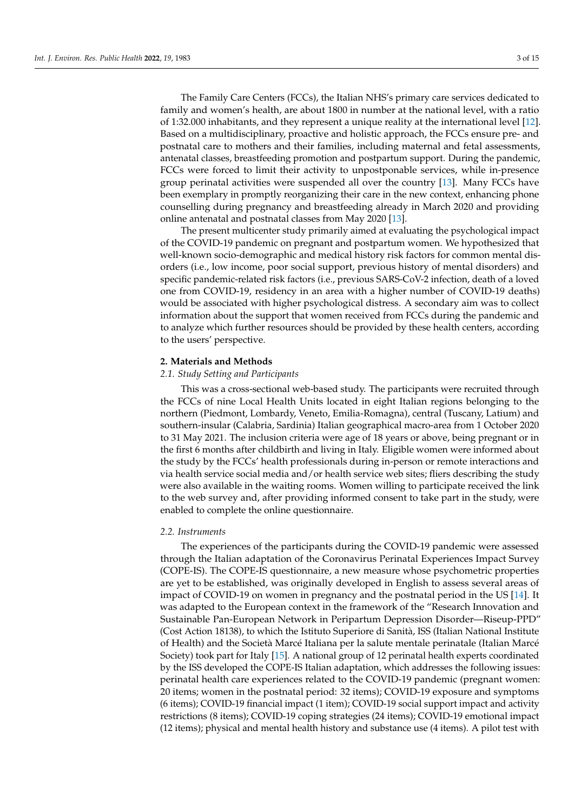The Family Care Centers (FCCs), the Italian NHS's primary care services dedicated to family and women's health, are about 1800 in number at the national level, with a ratio of 1:32.000 inhabitants, and they represent a unique reality at the international level [\[12\]](#page-12-11). Based on a multidisciplinary, proactive and holistic approach, the FCCs ensure pre- and postnatal care to mothers and their families, including maternal and fetal assessments, antenatal classes, breastfeeding promotion and postpartum support. During the pandemic, FCCs were forced to limit their activity to unpostponable services, while in-presence group perinatal activities were suspended all over the country [\[13\]](#page-12-12). Many FCCs have been exemplary in promptly reorganizing their care in the new context, enhancing phone counselling during pregnancy and breastfeeding already in March 2020 and providing online antenatal and postnatal classes from May 2020 [\[13\]](#page-12-12).

The present multicenter study primarily aimed at evaluating the psychological impact of the COVID-19 pandemic on pregnant and postpartum women. We hypothesized that well-known socio-demographic and medical history risk factors for common mental disorders (i.e., low income, poor social support, previous history of mental disorders) and specific pandemic-related risk factors (i.e., previous SARS-CoV-2 infection, death of a loved one from COVID-19, residency in an area with a higher number of COVID-19 deaths) would be associated with higher psychological distress. A secondary aim was to collect information about the support that women received from FCCs during the pandemic and to analyze which further resources should be provided by these health centers, according to the users' perspective.

## **2. Materials and Methods**

## *2.1. Study Setting and Participants*

This was a cross-sectional web-based study. The participants were recruited through the FCCs of nine Local Health Units located in eight Italian regions belonging to the northern (Piedmont, Lombardy, Veneto, Emilia-Romagna), central (Tuscany, Latium) and southern-insular (Calabria, Sardinia) Italian geographical macro-area from 1 October 2020 to 31 May 2021. The inclusion criteria were age of 18 years or above, being pregnant or in the first 6 months after childbirth and living in Italy. Eligible women were informed about the study by the FCCs' health professionals during in-person or remote interactions and via health service social media and/or health service web sites; fliers describing the study were also available in the waiting rooms. Women willing to participate received the link to the web survey and, after providing informed consent to take part in the study, were enabled to complete the online questionnaire.

# *2.2. Instruments*

The experiences of the participants during the COVID-19 pandemic were assessed through the Italian adaptation of the Coronavirus Perinatal Experiences Impact Survey (COPE-IS). The COPE-IS questionnaire, a new measure whose psychometric properties are yet to be established, was originally developed in English to assess several areas of impact of COVID-19 on women in pregnancy and the postnatal period in the US [\[14\]](#page-12-13). It was adapted to the European context in the framework of the "Research Innovation and Sustainable Pan-European Network in Peripartum Depression Disorder—Riseup-PPD" (Cost Action 18138), to which the Istituto Superiore di Sanità, ISS (Italian National Institute of Health) and the Società Marcé Italiana per la salute mentale perinatale (Italian Marcé Society) took part for Italy [\[15\]](#page-13-0). A national group of 12 perinatal health experts coordinated by the ISS developed the COPE-IS Italian adaptation, which addresses the following issues: perinatal health care experiences related to the COVID-19 pandemic (pregnant women: 20 items; women in the postnatal period: 32 items); COVID-19 exposure and symptoms (6 items); COVID-19 financial impact (1 item); COVID-19 social support impact and activity restrictions (8 items); COVID-19 coping strategies (24 items); COVID-19 emotional impact (12 items); physical and mental health history and substance use (4 items). A pilot test with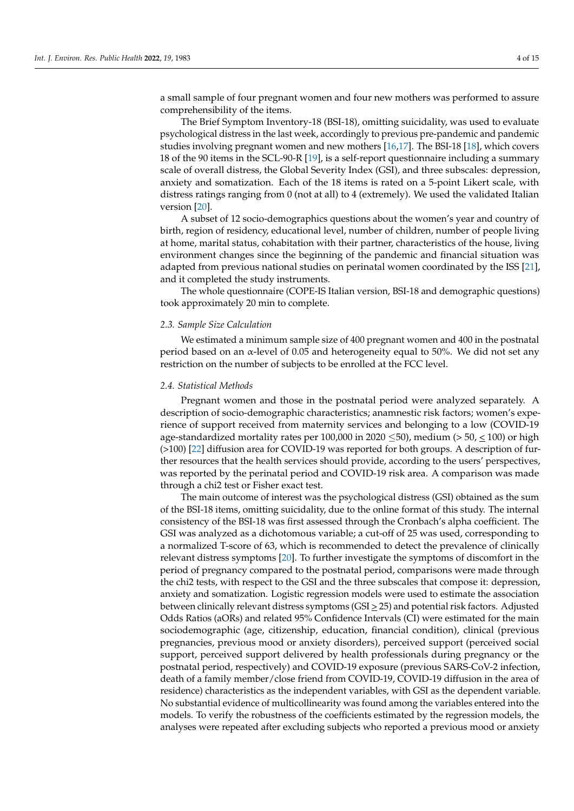a small sample of four pregnant women and four new mothers was performed to assure comprehensibility of the items.

The Brief Symptom Inventory-18 (BSI-18), omitting suicidality, was used to evaluate psychological distress in the last week, accordingly to previous pre-pandemic and pandemic studies involving pregnant women and new mothers [\[16,](#page-13-1)[17\]](#page-13-2). The BSI-18 [\[18\]](#page-13-3), which covers 18 of the 90 items in the SCL-90-R [\[19\]](#page-13-4), is a self-report questionnaire including a summary scale of overall distress, the Global Severity Index (GSI), and three subscales: depression, anxiety and somatization. Each of the 18 items is rated on a 5-point Likert scale, with distress ratings ranging from 0 (not at all) to 4 (extremely). We used the validated Italian version [\[20\]](#page-13-5).

A subset of 12 socio-demographics questions about the women's year and country of birth, region of residency, educational level, number of children, number of people living at home, marital status, cohabitation with their partner, characteristics of the house, living environment changes since the beginning of the pandemic and financial situation was adapted from previous national studies on perinatal women coordinated by the ISS [\[21\]](#page-13-6), and it completed the study instruments.

The whole questionnaire (COPE-IS Italian version, BSI-18 and demographic questions) took approximately 20 min to complete.

#### *2.3. Sample Size Calculation*

We estimated a minimum sample size of 400 pregnant women and 400 in the postnatal period based on an  $\alpha$ -level of 0.05 and heterogeneity equal to 50%. We did not set any restriction on the number of subjects to be enrolled at the FCC level.

#### *2.4. Statistical Methods*

Pregnant women and those in the postnatal period were analyzed separately. A description of socio-demographic characteristics; anamnestic risk factors; women's experience of support received from maternity services and belonging to a low (COVID-19 age-standardized mortality rates per 100,000 in 2020  $\leq$ 50), medium (> 50,  $\leq$  100) or high (>100) [\[22\]](#page-13-7) diffusion area for COVID-19 was reported for both groups. A description of further resources that the health services should provide, according to the users' perspectives, was reported by the perinatal period and COVID-19 risk area. A comparison was made through a chi2 test or Fisher exact test.

The main outcome of interest was the psychological distress (GSI) obtained as the sum of the BSI-18 items, omitting suicidality, due to the online format of this study. The internal consistency of the BSI-18 was first assessed through the Cronbach's alpha coefficient. The GSI was analyzed as a dichotomous variable; a cut-off of 25 was used, corresponding to a normalized T-score of 63, which is recommended to detect the prevalence of clinically relevant distress symptoms [\[20\]](#page-13-5). To further investigate the symptoms of discomfort in the period of pregnancy compared to the postnatal period, comparisons were made through the chi2 tests, with respect to the GSI and the three subscales that compose it: depression, anxiety and somatization. Logistic regression models were used to estimate the association between clinically relevant distress symptoms (GSI > 25) and potential risk factors. Adjusted Odds Ratios (aORs) and related 95% Confidence Intervals (CI) were estimated for the main sociodemographic (age, citizenship, education, financial condition), clinical (previous pregnancies, previous mood or anxiety disorders), perceived support (perceived social support, perceived support delivered by health professionals during pregnancy or the postnatal period, respectively) and COVID-19 exposure (previous SARS-CoV-2 infection, death of a family member/close friend from COVID-19, COVID-19 diffusion in the area of residence) characteristics as the independent variables, with GSI as the dependent variable. No substantial evidence of multicollinearity was found among the variables entered into the models. To verify the robustness of the coefficients estimated by the regression models, the analyses were repeated after excluding subjects who reported a previous mood or anxiety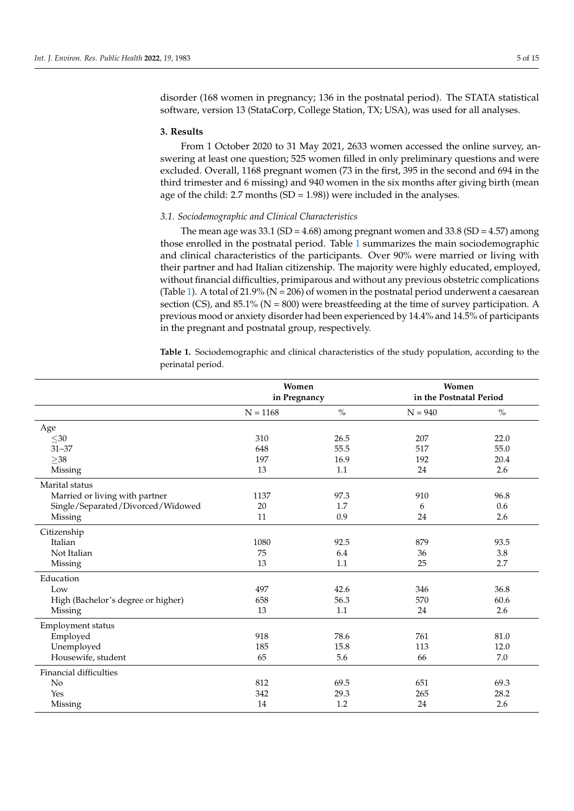disorder (168 women in pregnancy; 136 in the postnatal period). The STATA statistical software, version 13 (StataCorp, College Station, TX; USA), was used for all analyses.

#### **3. Results**

From 1 October 2020 to 31 May 2021, 2633 women accessed the online survey, answering at least one question; 525 women filled in only preliminary questions and were excluded. Overall, 1168 pregnant women (73 in the first, 395 in the second and 694 in the third trimester and 6 missing) and 940 women in the six months after giving birth (mean age of the child: 2.7 months  $(SD = 1.98)$ ) were included in the analyses.

# *3.1. Sociodemographic and Clinical Characteristics*

The mean age was  $33.1$  (SD = 4.68) among pregnant women and  $33.8$  (SD = 4.57) among those enrolled in the postnatal period. Table [1](#page-5-0) summarizes the main sociodemographic and clinical characteristics of the participants. Over 90% were married or living with their partner and had Italian citizenship. The majority were highly educated, employed, without financial difficulties, primiparous and without any previous obstetric complications (Table [1\)](#page-5-0). A total of 21.9% ( $N = 206$ ) of women in the postnatal period underwent a caesarean section (CS), and 85.1% ( $N = 800$ ) were breastfeeding at the time of survey participation. A previous mood or anxiety disorder had been experienced by 14.4% and 14.5% of participants in the pregnant and postnatal group, respectively.

**Table 1.** Sociodemographic and clinical characteristics of the study population, according to the perinatal period.

|                                    | Women<br>in Pregnancy |               | Women<br>in the Postnatal Period |      |
|------------------------------------|-----------------------|---------------|----------------------------------|------|
|                                    | $N = 1168$            | $\frac{0}{0}$ | $N = 940$                        | $\%$ |
| Age                                |                       |               |                                  |      |
| $30$                               | 310                   | 26.5          | 207                              | 22.0 |
| $31 - 37$                          | 648                   | 55.5          | 517                              | 55.0 |
| $\geq$ 38                          | 197                   | 16.9          | 192                              | 20.4 |
| Missing                            | 13                    | 1.1           | 24                               | 2.6  |
| Marital status                     |                       |               |                                  |      |
| Married or living with partner     | 1137                  | 97.3          | 910                              | 96.8 |
| Single/Separated/Divorced/Widowed  | 20                    | 1.7           | 6                                | 0.6  |
| Missing                            | 11                    | 0.9           | 24                               | 2.6  |
| Citizenship                        |                       |               |                                  |      |
| Italian                            | 1080                  | 92.5          | 879                              | 93.5 |
| Not Italian                        | 75                    | 6.4           | 36                               | 3.8  |
| Missing                            | 13                    | 1.1           | 25                               | 2.7  |
| Education                          |                       |               |                                  |      |
| Low                                | 497                   | 42.6          | 346                              | 36.8 |
| High (Bachelor's degree or higher) | 658                   | 56.3          | 570                              | 60.6 |
| Missing                            | 13                    | 1.1           | 24                               | 2.6  |
| Employment status                  |                       |               |                                  |      |
| Employed                           | 918                   | 78.6          | 761                              | 81.0 |
| Unemployed                         | 185                   | 15.8          | 113                              | 12.0 |
| Housewife, student                 | 65                    | 5.6           | 66                               | 7.0  |
| Financial difficulties             |                       |               |                                  |      |
| No                                 | 812                   | 69.5          | 651                              | 69.3 |
| Yes                                | 342                   | 29.3          | 265                              | 28.2 |
| Missing                            | 14                    | 1.2           | 24                               | 2.6  |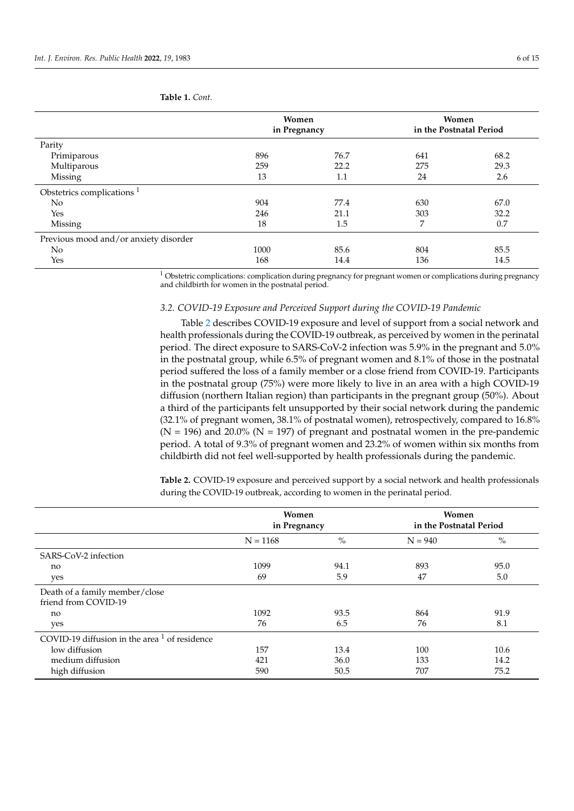|      |      | <b>Women</b><br>in the Postnatal Period |      |
|------|------|-----------------------------------------|------|
|      |      |                                         |      |
| 896  | 76.7 | 641                                     | 68.2 |
| 259  | 22.2 | 275                                     | 29.3 |
| 13   | 1.1  | 24                                      | 2.6  |
|      |      |                                         |      |
| 904  | 77.4 | 630                                     | 67.0 |
| 246  | 21.1 | 303                                     | 32.2 |
| 18   | 1.5  | 7                                       | 0.7  |
|      |      |                                         |      |
| 1000 | 85.6 | 804                                     | 85.5 |
| 168  | 14.4 | 136                                     | 14.5 |
|      |      | <b>Women</b><br>in Pregnancy            |      |

# <span id="page-5-0"></span>**Table 1.** *Cont.*

 $1$  Obstetric complications: complication during pregnancy for pregnant women or complications during pregnancy and childbirth for women in the postnatal period.

## *3.2. COVID-19 Exposure and Perceived Support during the COVID-19 Pandemic*

Table [2](#page-6-0) describes COVID-19 exposure and level of support from a social network and health professionals during the COVID-19 outbreak, as perceived by women in the perinatal period. The direct exposure to SARS-CoV-2 infection was 5.9% in the pregnant and 5.0% in the postnatal group, while 6.5% of pregnant women and 8.1% of those in the postnatal period suffered the loss of a family member or a close friend from COVID-19. Participants in the postnatal group (75%) were more likely to live in an area with a high COVID-19 diffusion (northern Italian region) than participants in the pregnant group (50%). About a third of the participants felt unsupported by their social network during the pandemic (32.1% of pregnant women, 38.1% of postnatal women), retrospectively, compared to 16.8%  $(N = 196)$  and 20.0%  $(N = 197)$  of pregnant and postnatal women in the pre-pandemic period. A total of 9.3% of pregnant women and 23.2% of women within six months from childbirth did not feel well-supported by health professionals during the pandemic.

**Table 2.** COVID-19 exposure and perceived support by a social network and health professionals during the COVID-19 outbreak, according to women in the perinatal period.

|                                                        | Women<br>in Pregnancy |      | Women<br>in the Postnatal Period |      |
|--------------------------------------------------------|-----------------------|------|----------------------------------|------|
|                                                        | $N = 1168$            | $\%$ | $N = 940$                        | $\%$ |
| SARS-CoV-2 infection                                   |                       |      |                                  |      |
| no                                                     | 1099                  | 94.1 | 893                              | 95.0 |
| yes                                                    | 69                    | 5.9  | 47                               | 5.0  |
| Death of a family member/close<br>friend from COVID-19 |                       |      |                                  |      |
| no                                                     | 1092                  | 93.5 | 864                              | 91.9 |
| yes                                                    | 76                    | 6.5  | 76                               | 8.1  |
| COVID-19 diffusion in the area $1$ of residence        |                       |      |                                  |      |
| low diffusion                                          | 157                   | 13.4 | 100                              | 10.6 |
| medium diffusion                                       | 421                   | 36.0 | 133                              | 14.2 |
| high diffusion                                         | 590                   | 50.5 | 707                              | 75.2 |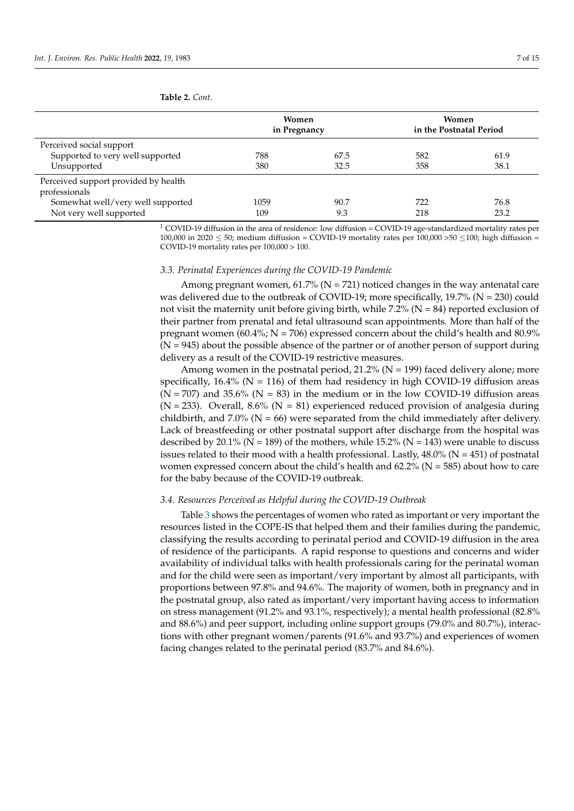<span id="page-6-0"></span>

|                                                       | <b>Women</b><br>in Pregnancy |      | Women<br>in the Postnatal Period |      |
|-------------------------------------------------------|------------------------------|------|----------------------------------|------|
| Perceived social support                              |                              |      |                                  |      |
| Supported to very well supported                      | 788                          | 67.5 | 582                              | 61.9 |
| Unsupported                                           | 380                          | 32.5 | 358                              | 38.1 |
| Perceived support provided by health<br>professionals |                              |      |                                  |      |
| Somewhat well/very well supported                     | 1059                         | 90.7 | 722                              | 76.8 |
| Not very well supported                               | 109                          | 9.3  | 218                              | 23.2 |

<sup>1</sup> COVID-19 diffusion in the area of residence: low diffusion = COVID-19 age-standardized mortality rates per 100,000 in 2020  $\leq$  50; medium diffusion = COVID-19 mortality rates per 100,000 > 50  $\leq$  100; high diffusion = COVID-19 mortality rates per 100,000 > 100.

## *3.3. Perinatal Experiences during the COVID-19 Pandemic*

Among pregnant women, 61.7% ( $N = 721$ ) noticed changes in the way antenatal care was delivered due to the outbreak of COVID-19; more specifically,  $19.7\%$  (N = 230) could not visit the maternity unit before giving birth, while  $7.2\%$  (N = 84) reported exclusion of their partner from prenatal and fetal ultrasound scan appointments. More than half of the pregnant women (60.4%;  $N = 706$ ) expressed concern about the child's health and 80.9%  $(N = 945)$  about the possible absence of the partner or of another person of support during delivery as a result of the COVID-19 restrictive measures.

Among women in the postnatal period,  $21.2\%$  (N = 199) faced delivery alone; more specifically,  $16.4\%$  (N = 116) of them had residency in high COVID-19 diffusion areas  $(N = 707)$  and 35.6% (N = 83) in the medium or in the low COVID-19 diffusion areas ( $N = 233$ ). Overall, 8.6% ( $N = 81$ ) experienced reduced provision of analgesia during childbirth, and 7.0% ( $N = 66$ ) were separated from the child immediately after delivery. Lack of breastfeeding or other postnatal support after discharge from the hospital was described by 20.1% ( $N = 189$ ) of the mothers, while 15.2% ( $N = 143$ ) were unable to discuss issues related to their mood with a health professional. Lastly,  $48.0\%$  (N = 451) of postnatal women expressed concern about the child's health and  $62.2\%$  (N = 585) about how to care for the baby because of the COVID-19 outbreak.

## *3.4. Resources Perceived as Helpful during the COVID-19 Outbreak*

Table [3](#page-7-0) shows the percentages of women who rated as important or very important the resources listed in the COPE-IS that helped them and their families during the pandemic, classifying the results according to perinatal period and COVID-19 diffusion in the area of residence of the participants. A rapid response to questions and concerns and wider availability of individual talks with health professionals caring for the perinatal woman and for the child were seen as important/very important by almost all participants, with proportions between 97.8% and 94.6%. The majority of women, both in pregnancy and in the postnatal group, also rated as important/very important having access to information on stress management (91.2% and 93.1%, respectively); a mental health professional (82.8% and 88.6%) and peer support, including online support groups (79.0% and 80.7%), interactions with other pregnant women/parents (91.6% and 93.7%) and experiences of women facing changes related to the perinatal period (83.7% and 84.6%).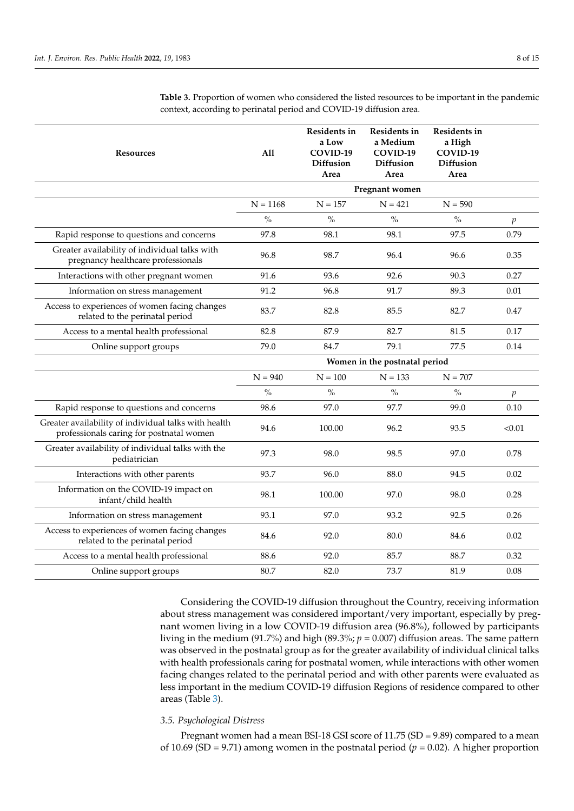| <b>Resources</b>                                                                                 | All           | Residents in<br>a Low<br>COVID-19<br><b>Diffusion</b><br>Area | Residents in<br>a Medium<br>COVID-19<br><b>Diffusion</b><br>Area | Residents in<br>a High<br>COVID-19<br>Diffusion<br>Area |                  |
|--------------------------------------------------------------------------------------------------|---------------|---------------------------------------------------------------|------------------------------------------------------------------|---------------------------------------------------------|------------------|
|                                                                                                  |               |                                                               | Pregnant women                                                   |                                                         |                  |
|                                                                                                  | $N = 1168$    | $N = 157$                                                     | $N = 421$                                                        | $N = 590$                                               |                  |
|                                                                                                  | $\frac{0}{0}$ | $\frac{0}{0}$                                                 | $\frac{0}{0}$                                                    | $\frac{0}{0}$                                           | $\boldsymbol{p}$ |
| Rapid response to questions and concerns                                                         | 97.8          | 98.1                                                          | 98.1                                                             | 97.5                                                    | 0.79             |
| Greater availability of individual talks with<br>pregnancy healthcare professionals              | 96.8          | 98.7                                                          | 96.4                                                             | 96.6                                                    | 0.35             |
| Interactions with other pregnant women                                                           | 91.6          | 93.6                                                          | 92.6                                                             | 90.3                                                    | 0.27             |
| Information on stress management                                                                 | 91.2          | 96.8                                                          | 91.7                                                             | 89.3                                                    | 0.01             |
| Access to experiences of women facing changes<br>related to the perinatal period                 | 83.7          | 82.8                                                          | 85.5                                                             | 82.7                                                    | 0.47             |
| Access to a mental health professional                                                           | 82.8          | 87.9                                                          | 82.7                                                             | 81.5                                                    | 0.17             |
| Online support groups                                                                            | 79.0          | 84.7                                                          | 79.1                                                             | 77.5                                                    | 0.14             |
|                                                                                                  |               |                                                               | Women in the postnatal period                                    |                                                         |                  |
|                                                                                                  | $N = 940$     | $N = 100$                                                     | $N = 133$                                                        | $N = 707$                                               |                  |
|                                                                                                  | $\frac{0}{0}$ | $\%$                                                          | $\%$                                                             | $\%$                                                    | $\boldsymbol{p}$ |
| Rapid response to questions and concerns                                                         | 98.6          | 97.0                                                          | 97.7                                                             | 99.0                                                    | 0.10             |
| Greater availability of individual talks with health<br>professionals caring for postnatal women | 94.6          | 100.00                                                        | 96.2                                                             | 93.5                                                    | < 0.01           |
| Greater availability of individual talks with the<br>pediatrician                                | 97.3          | 98.0                                                          | 98.5                                                             | 97.0                                                    | 0.78             |
| Interactions with other parents                                                                  | 93.7          | 96.0                                                          | 88.0                                                             | 94.5                                                    | 0.02             |
| Information on the COVID-19 impact on<br>infant/child health                                     | 98.1          | 100.00                                                        | 97.0                                                             | 98.0                                                    | 0.28             |
| Information on stress management                                                                 | 93.1          | 97.0                                                          | 93.2                                                             | 92.5                                                    | 0.26             |
| Access to experiences of women facing changes<br>related to the perinatal period                 | 84.6          | 92.0                                                          | 80.0                                                             | 84.6                                                    | 0.02             |
| Access to a mental health professional                                                           | 88.6          | 92.0                                                          | 85.7                                                             | 88.7                                                    | 0.32             |
| Online support groups                                                                            | 80.7          | 82.0                                                          | 73.7                                                             | 81.9                                                    | 0.08             |

<span id="page-7-0"></span>**Table 3.** Proportion of women who considered the listed resources to be important in the pandemic context, according to perinatal period and COVID-19 diffusion area.

Considering the COVID-19 diffusion throughout the Country, receiving information about stress management was considered important/very important, especially by pregnant women living in a low COVID-19 diffusion area (96.8%), followed by participants living in the medium (91.7%) and high (89.3%;  $p = 0.007$ ) diffusion areas. The same pattern was observed in the postnatal group as for the greater availability of individual clinical talks with health professionals caring for postnatal women, while interactions with other women facing changes related to the perinatal period and with other parents were evaluated as less important in the medium COVID-19 diffusion Regions of residence compared to other areas (Table [3\)](#page-7-0).

# *3.5. Psychological Distress*

Pregnant women had a mean BSI-18 GSI score of 11.75 (SD = 9.89) compared to a mean of 10.69 (SD = 9.71) among women in the postnatal period ( $p = 0.02$ ). A higher proportion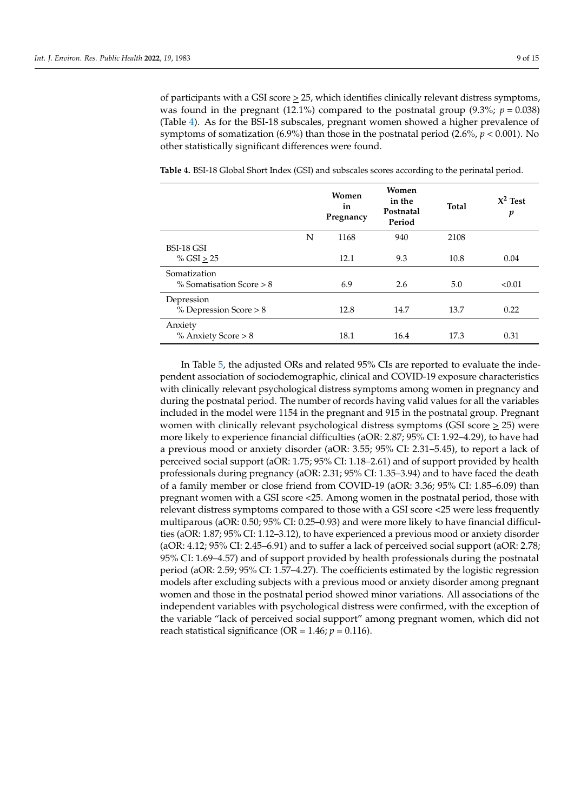of participants with a GSI score  $\geq$  25, which identifies clinically relevant distress symptoms, was found in the pregnant (12.1%) compared to the postnatal group (9.3%;  $p = 0.038$ ) (Table [4\)](#page-8-0). As for the BSI-18 subscales, pregnant women showed a higher prevalence of symptoms of somatization (6.9%) than those in the postnatal period (2.6%,  $p < 0.001$ ). No other statistically significant differences were found.

|                            |   | Women<br>in<br>Pregnancy | Women<br>in the<br>Postnatal<br>Period | <b>Total</b> | $X^2$ Test<br>p |
|----------------------------|---|--------------------------|----------------------------------------|--------------|-----------------|
|                            | N | 1168                     | 940                                    | 2108         |                 |
| BSI-18 GSI                 |   |                          |                                        |              |                 |
| % $GSI > 25$               |   | 12.1                     | 9.3                                    | 10.8         | 0.04            |
| Somatization               |   |                          |                                        |              |                 |
| % Somatisation Score $> 8$ |   | 6.9                      | 2.6                                    | 5.0          | < 0.01          |
| Depression                 |   |                          |                                        |              |                 |
| % Depression Score > 8     |   | 12.8                     | 14.7                                   | 13.7         | 0.22            |
| Anxiety                    |   |                          |                                        |              |                 |
| % Anxiety Score > 8        |   | 18.1                     | 16.4                                   | 17.3         | 0.31            |

<span id="page-8-0"></span>**Table 4.** BSI-18 Global Short Index (GSI) and subscales scores according to the perinatal period.

In Table [5,](#page-9-0) the adjusted ORs and related 95% CIs are reported to evaluate the independent association of sociodemographic, clinical and COVID-19 exposure characteristics with clinically relevant psychological distress symptoms among women in pregnancy and during the postnatal period. The number of records having valid values for all the variables included in the model were 1154 in the pregnant and 915 in the postnatal group. Pregnant women with clinically relevant psychological distress symptoms (GSI score  $\geq$  25) were more likely to experience financial difficulties (aOR: 2.87; 95% CI: 1.92–4.29), to have had a previous mood or anxiety disorder (aOR: 3.55; 95% CI: 2.31–5.45), to report a lack of perceived social support (aOR: 1.75; 95% CI: 1.18–2.61) and of support provided by health professionals during pregnancy (aOR: 2.31; 95% CI: 1.35–3.94) and to have faced the death of a family member or close friend from COVID-19 (aOR: 3.36; 95% CI: 1.85–6.09) than pregnant women with a GSI score <25. Among women in the postnatal period, those with relevant distress symptoms compared to those with a GSI score <25 were less frequently multiparous (aOR: 0.50; 95% CI: 0.25–0.93) and were more likely to have financial difficulties (aOR: 1.87; 95% CI: 1.12–3.12), to have experienced a previous mood or anxiety disorder (aOR: 4.12; 95% CI: 2.45–6.91) and to suffer a lack of perceived social support (aOR: 2.78; 95% CI: 1.69–4.57) and of support provided by health professionals during the postnatal period (aOR: 2.59; 95% CI: 1.57–4.27). The coefficients estimated by the logistic regression models after excluding subjects with a previous mood or anxiety disorder among pregnant women and those in the postnatal period showed minor variations. All associations of the independent variables with psychological distress were confirmed, with the exception of the variable "lack of perceived social support" among pregnant women, which did not reach statistical significance (OR =  $1.46$ ;  $p = 0.116$ ).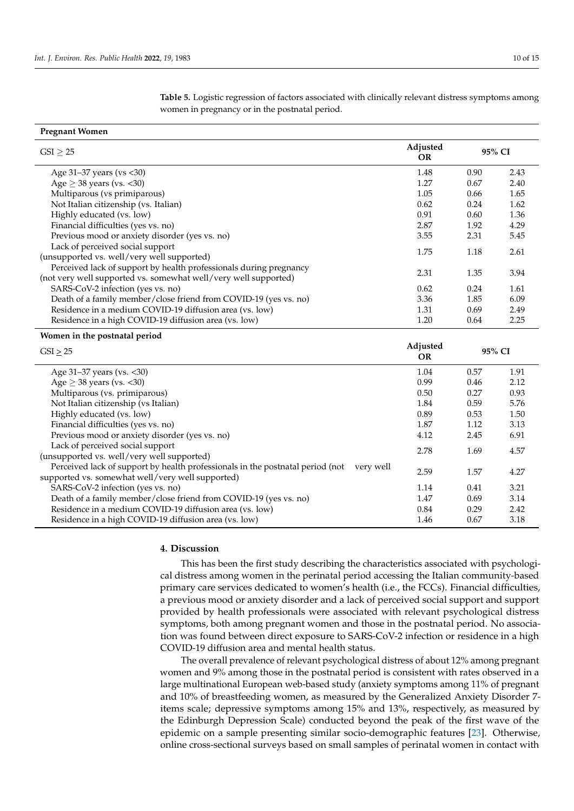<span id="page-9-0"></span>**Table 5.** Logistic regression of factors associated with clinically relevant distress symptoms among women in pregnancy or in the postnatal period.

| <b>Pregnant Women</b>                                                                    |                       |        |      |
|------------------------------------------------------------------------------------------|-----------------------|--------|------|
| $GSI \geq 25$                                                                            |                       | 95% CI |      |
| Age 31-37 years (vs < 30)                                                                | 1.48                  | 0.90   | 2.43 |
| Age $\geq$ 38 years (vs. <30)                                                            | 1.27                  | 0.67   | 2.40 |
| Multiparous (vs primiparous)                                                             | 1.05                  | 0.66   | 1.65 |
| Not Italian citizenship (vs. Italian)                                                    | 0.62                  | 0.24   | 1.62 |
| Highly educated (vs. low)                                                                | 0.91                  | 0.60   | 1.36 |
| Financial difficulties (yes vs. no)                                                      | 2.87                  | 1.92   | 4.29 |
| Previous mood or anxiety disorder (yes vs. no)                                           | 3.55                  | 2.31   | 5.45 |
| Lack of perceived social support                                                         |                       |        |      |
| (unsupported vs. well/very well supported)                                               | 1.75                  | 1.18   | 2.61 |
| Perceived lack of support by health professionals during pregnancy                       |                       |        |      |
| (not very well supported vs. somewhat well/very well supported)                          | 2.31                  | 1.35   | 3.94 |
| SARS-CoV-2 infection (yes vs. no)                                                        | 0.62                  | 0.24   | 1.61 |
| Death of a family member/close friend from COVID-19 (yes vs. no)                         | 3.36                  | 1.85   | 6.09 |
| Residence in a medium COVID-19 diffusion area (vs. low)                                  | 1.31                  | 0.69   | 2.49 |
| Residence in a high COVID-19 diffusion area (vs. low)                                    | 1.20                  | 0.64   | 2.25 |
| Women in the postnatal period                                                            |                       |        |      |
| $GSI \geq 25$                                                                            | Adjusted<br><b>OR</b> | 95% CI |      |
| Age 31-37 years (vs. < 30)                                                               | 1.04                  | 0.57   | 1.91 |
| Age $\geq$ 38 years (vs. <30)                                                            | 0.99                  | 0.46   | 2.12 |
| Multiparous (vs. primiparous)                                                            | 0.50                  | 0.27   | 0.93 |
| Not Italian citizenship (vs Italian)                                                     | 1.84                  | 0.59   | 5.76 |
| Highly educated (vs. low)                                                                | 0.89                  | 0.53   | 1.50 |
| Financial difficulties (yes vs. no)                                                      | 1.87                  | 1.12   | 3.13 |
| Previous mood or anxiety disorder (yes vs. no)                                           | 4.12                  | 2.45   | 6.91 |
| Lack of perceived social support                                                         | 2.78                  | 1.69   | 4.57 |
| (unsupported vs. well/very well supported)                                               |                       |        |      |
| Perceived lack of support by health professionals in the postnatal period (not very well |                       |        |      |
| supported vs. somewhat well/very well supported)                                         | 2.59                  | 1.57   | 4.27 |
| SARS-CoV-2 infection (yes vs. no)                                                        | 1.14                  | 0.41   | 3.21 |
| Death of a family member/close friend from COVID-19 (yes vs. no)                         | 1.47                  | 0.69   | 3.14 |
| Residence in a medium COVID-19 diffusion area (vs. low)                                  | 0.84                  | 0.29   | 2.42 |
| Residence in a high COVID-19 diffusion area (vs. low)                                    | 1.46                  | 0.67   | 3.18 |

### **4. Discussion**

This has been the first study describing the characteristics associated with psychological distress among women in the perinatal period accessing the Italian community-based primary care services dedicated to women's health (i.e., the FCCs). Financial difficulties, a previous mood or anxiety disorder and a lack of perceived social support and support provided by health professionals were associated with relevant psychological distress symptoms, both among pregnant women and those in the postnatal period. No association was found between direct exposure to SARS-CoV-2 infection or residence in a high COVID-19 diffusion area and mental health status.

The overall prevalence of relevant psychological distress of about 12% among pregnant women and 9% among those in the postnatal period is consistent with rates observed in a large multinational European web-based study (anxiety symptoms among 11% of pregnant and 10% of breastfeeding women, as measured by the Generalized Anxiety Disorder 7 items scale; depressive symptoms among 15% and 13%, respectively, as measured by the Edinburgh Depression Scale) conducted beyond the peak of the first wave of the epidemic on a sample presenting similar socio-demographic features [\[23\]](#page-13-8). Otherwise, online cross-sectional surveys based on small samples of perinatal women in contact with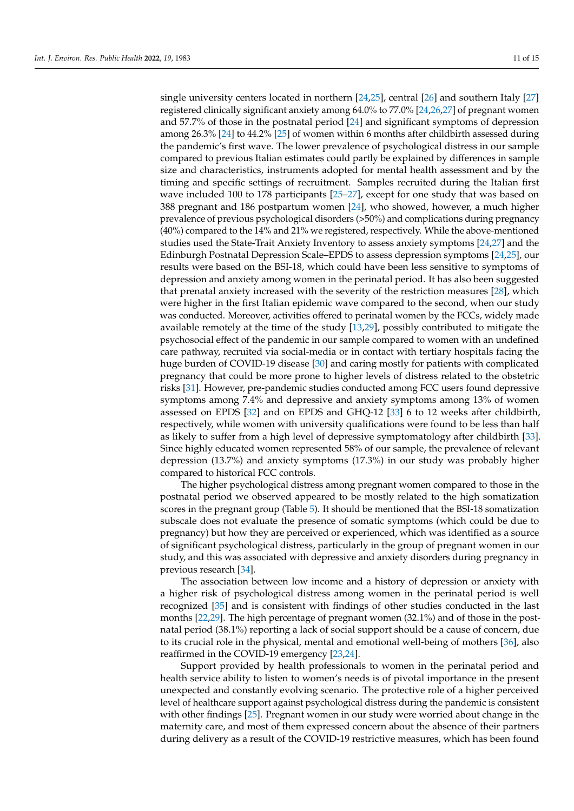single university centers located in northern [\[24](#page-13-9)[,25\]](#page-13-10), central [\[26\]](#page-13-11) and southern Italy [\[27\]](#page-13-12) registered clinically significant anxiety among 64.0% to 77.0% [\[24,](#page-13-9)[26](#page-13-11)[,27\]](#page-13-12) of pregnant women and 57.7% of those in the postnatal period [\[24\]](#page-13-9) and significant symptoms of depression among 26.3% [\[24\]](#page-13-9) to 44.2% [\[25\]](#page-13-10) of women within 6 months after childbirth assessed during the pandemic's first wave. The lower prevalence of psychological distress in our sample compared to previous Italian estimates could partly be explained by differences in sample size and characteristics, instruments adopted for mental health assessment and by the timing and specific settings of recruitment. Samples recruited during the Italian first wave included 100 to 178 participants [\[25–](#page-13-10)[27\]](#page-13-12), except for one study that was based on 388 pregnant and 186 postpartum women [\[24\]](#page-13-9), who showed, however, a much higher prevalence of previous psychological disorders (>50%) and complications during pregnancy (40%) compared to the 14% and 21% we registered, respectively. While the above-mentioned studies used the State-Trait Anxiety Inventory to assess anxiety symptoms [\[24](#page-13-9)[,27\]](#page-13-12) and the Edinburgh Postnatal Depression Scale–EPDS to assess depression symptoms [\[24,](#page-13-9)[25\]](#page-13-10), our results were based on the BSI-18, which could have been less sensitive to symptoms of depression and anxiety among women in the perinatal period. It has also been suggested that prenatal anxiety increased with the severity of the restriction measures [\[28\]](#page-13-13), which were higher in the first Italian epidemic wave compared to the second, when our study was conducted. Moreover, activities offered to perinatal women by the FCCs, widely made available remotely at the time of the study [\[13,](#page-12-12)[29\]](#page-13-14), possibly contributed to mitigate the psychosocial effect of the pandemic in our sample compared to women with an undefined care pathway, recruited via social-media or in contact with tertiary hospitals facing the huge burden of COVID-19 disease [\[30\]](#page-13-15) and caring mostly for patients with complicated pregnancy that could be more prone to higher levels of distress related to the obstetric risks [\[31\]](#page-13-16). However, pre-pandemic studies conducted among FCC users found depressive symptoms among 7.4% and depressive and anxiety symptoms among 13% of women assessed on EPDS [\[32\]](#page-13-17) and on EPDS and GHQ-12 [\[33\]](#page-13-18) 6 to 12 weeks after childbirth, respectively, while women with university qualifications were found to be less than half as likely to suffer from a high level of depressive symptomatology after childbirth [\[33\]](#page-13-18). Since highly educated women represented 58% of our sample, the prevalence of relevant depression (13.7%) and anxiety symptoms (17.3%) in our study was probably higher compared to historical FCC controls.

The higher psychological distress among pregnant women compared to those in the postnatal period we observed appeared to be mostly related to the high somatization scores in the pregnant group (Table [5\)](#page-9-0). It should be mentioned that the BSI-18 somatization subscale does not evaluate the presence of somatic symptoms (which could be due to pregnancy) but how they are perceived or experienced, which was identified as a source of significant psychological distress, particularly in the group of pregnant women in our study, and this was associated with depressive and anxiety disorders during pregnancy in previous research [\[34\]](#page-13-19).

The association between low income and a history of depression or anxiety with a higher risk of psychological distress among women in the perinatal period is well recognized [\[35\]](#page-13-20) and is consistent with findings of other studies conducted in the last months [\[22,](#page-13-7)[29\]](#page-13-14). The high percentage of pregnant women (32.1%) and of those in the postnatal period (38.1%) reporting a lack of social support should be a cause of concern, due to its crucial role in the physical, mental and emotional well-being of mothers [\[36\]](#page-13-21), also reaffirmed in the COVID-19 emergency [\[23,](#page-13-8)[24\]](#page-13-9).

Support provided by health professionals to women in the perinatal period and health service ability to listen to women's needs is of pivotal importance in the present unexpected and constantly evolving scenario. The protective role of a higher perceived level of healthcare support against psychological distress during the pandemic is consistent with other findings [\[25\]](#page-13-10). Pregnant women in our study were worried about change in the maternity care, and most of them expressed concern about the absence of their partners during delivery as a result of the COVID-19 restrictive measures, which has been found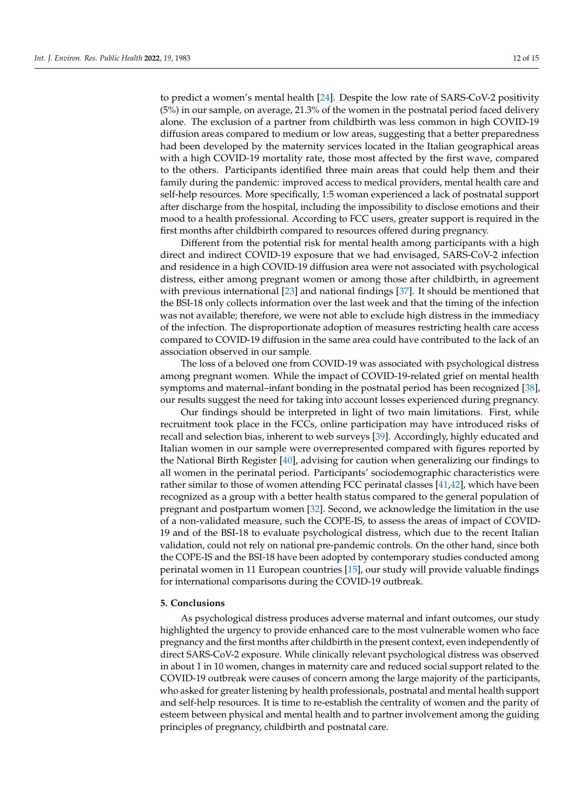to predict a women's mental health [\[24\]](#page-13-9). Despite the low rate of SARS-CoV-2 positivity (5%) in our sample, on average, 21.3% of the women in the postnatal period faced delivery alone. The exclusion of a partner from childbirth was less common in high COVID-19 diffusion areas compared to medium or low areas, suggesting that a better preparedness had been developed by the maternity services located in the Italian geographical areas with a high COVID-19 mortality rate, those most affected by the first wave, compared to the others. Participants identified three main areas that could help them and their family during the pandemic: improved access to medical providers, mental health care and self-help resources. More specifically, 1:5 woman experienced a lack of postnatal support after discharge from the hospital, including the impossibility to disclose emotions and their mood to a health professional. According to FCC users, greater support is required in the first months after childbirth compared to resources offered during pregnancy.

Different from the potential risk for mental health among participants with a high direct and indirect COVID-19 exposure that we had envisaged, SARS-CoV-2 infection and residence in a high COVID-19 diffusion area were not associated with psychological distress, either among pregnant women or among those after childbirth, in agreement with previous international [\[23\]](#page-13-8) and national findings [\[37\]](#page-13-22). It should be mentioned that the BSI-18 only collects information over the last week and that the timing of the infection was not available; therefore, we were not able to exclude high distress in the immediacy of the infection. The disproportionate adoption of measures restricting health care access compared to COVID-19 diffusion in the same area could have contributed to the lack of an association observed in our sample.

The loss of a beloved one from COVID-19 was associated with psychological distress among pregnant women. While the impact of COVID-19-related grief on mental health symptoms and maternal–infant bonding in the postnatal period has been recognized [\[38\]](#page-13-23), our results suggest the need for taking into account losses experienced during pregnancy.

Our findings should be interpreted in light of two main limitations. First, while recruitment took place in the FCCs, online participation may have introduced risks of recall and selection bias, inherent to web surveys [\[39\]](#page-14-0). Accordingly, highly educated and Italian women in our sample were overrepresented compared with figures reported by the National Birth Register [\[40\]](#page-14-1), advising for caution when generalizing our findings to all women in the perinatal period. Participants' sociodemographic characteristics were rather similar to those of women attending FCC perinatal classes [\[41](#page-14-2)[,42\]](#page-14-3), which have been recognized as a group with a better health status compared to the general population of pregnant and postpartum women [\[32\]](#page-13-17). Second, we acknowledge the limitation in the use of a non-validated measure, such the COPE-IS, to assess the areas of impact of COVID-19 and of the BSI-18 to evaluate psychological distress, which due to the recent Italian validation, could not rely on national pre-pandemic controls. On the other hand, since both the COPE-IS and the BSI-18 have been adopted by contemporary studies conducted among perinatal women in 11 European countries [\[15\]](#page-13-0), our study will provide valuable findings for international comparisons during the COVID-19 outbreak.

#### **5. Conclusions**

As psychological distress produces adverse maternal and infant outcomes, our study highlighted the urgency to provide enhanced care to the most vulnerable women who face pregnancy and the first months after childbirth in the present context, even independently of direct SARS-CoV-2 exposure. While clinically relevant psychological distress was observed in about 1 in 10 women, changes in maternity care and reduced social support related to the COVID-19 outbreak were causes of concern among the large majority of the participants, who asked for greater listening by health professionals, postnatal and mental health support and self-help resources. It is time to re-establish the centrality of women and the parity of esteem between physical and mental health and to partner involvement among the guiding principles of pregnancy, childbirth and postnatal care.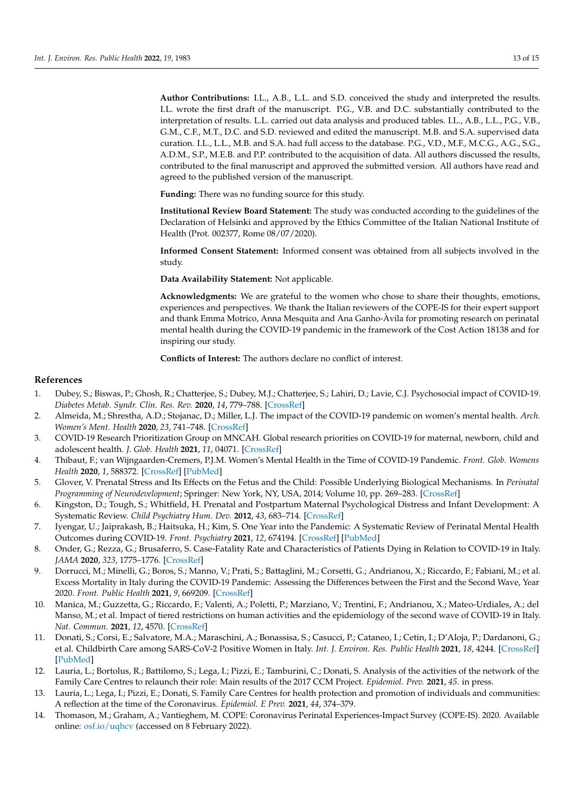**Author Contributions:** I.L., A.B., L.L. and S.D. conceived the study and interpreted the results. I.L. wrote the first draft of the manuscript. P.G., V.B. and D.C. substantially contributed to the interpretation of results. L.L. carried out data analysis and produced tables. I.L., A.B., L.L., P.G., V.B., G.M., C.F., M.T., D.C. and S.D. reviewed and edited the manuscript. M.B. and S.A. supervised data curation. I.L., L.L., M.B. and S.A. had full access to the database. P.G., V.D., M.F., M.C.G., A.G., S.G., A.D.M., S.P., M.E.B. and P.P. contributed to the acquisition of data. All authors discussed the results, contributed to the final manuscript and approved the submitted version. All authors have read and agreed to the published version of the manuscript.

**Funding:** There was no funding source for this study.

**Institutional Review Board Statement:** The study was conducted according to the guidelines of the Declaration of Helsinki and approved by the Ethics Committee of the Italian National Institute of Health (Prot. 002377, Rome 08/07/2020).

**Informed Consent Statement:** Informed consent was obtained from all subjects involved in the study.

**Data Availability Statement:** Not applicable.

**Acknowledgments:** We are grateful to the women who chose to share their thoughts, emotions, experiences and perspectives. We thank the Italian reviewers of the COPE-IS for their expert support and thank Emma Motrico, Anna Mesquita and Ana Ganho-Àvila for promoting research on perinatal mental health during the COVID-19 pandemic in the framework of the Cost Action 18138 and for inspiring our study.

**Conflicts of Interest:** The authors declare no conflict of interest.

## **References**

- <span id="page-12-0"></span>1. Dubey, S.; Biswas, P.; Ghosh, R.; Chatterjee, S.; Dubey, M.J.; Chatterjee, S.; Lahiri, D.; Lavie, C.J. Psychosocial impact of COVID-19. *Diabetes Metab. Syndr. Clin. Res. Rev.* **2020**, *14*, 779–788. [\[CrossRef\]](http://doi.org/10.1016/j.dsx.2020.05.035)
- <span id="page-12-1"></span>2. Almeida, M.; Shrestha, A.D.; Stojanac, D.; Miller, L.J. The impact of the COVID-19 pandemic on women's mental health. *Arch. Women's Ment. Health* **2020**, *23*, 741–748. [\[CrossRef\]](http://doi.org/10.1007/s00737-020-01092-2)
- <span id="page-12-2"></span>3. COVID-19 Research Prioritization Group on MNCAH. Global research priorities on COVID-19 for maternal, newborn, child and adolescent health. *J. Glob. Health* **2021**, *11*, 04071. [\[CrossRef\]](http://doi.org/10.7189/jogh.11.04071)
- <span id="page-12-3"></span>4. Thibaut, F.; van Wijngaarden-Cremers, P.J.M. Women's Mental Health in the Time of COVID-19 Pandemic. *Front. Glob. Womens Health* **2020**, *1*, 588372. [\[CrossRef\]](http://doi.org/10.3389/fgwh.2020.588372) [\[PubMed\]](http://www.ncbi.nlm.nih.gov/pubmed/34816164)
- <span id="page-12-4"></span>5. Glover, V. Prenatal Stress and Its Effects on the Fetus and the Child: Possible Underlying Biological Mechanisms. In *Perinatal Programming of Neurodevelopment*; Springer: New York, NY, USA, 2014; Volume 10, pp. 269–283. [\[CrossRef\]](http://doi.org/10.1007/978-1-4939-1372-5_13)
- <span id="page-12-5"></span>6. Kingston, D.; Tough, S.; Whitfield, H. Prenatal and Postpartum Maternal Psychological Distress and Infant Development: A Systematic Review. *Child Psychiatry Hum. Dev.* **2012**, *43*, 683–714. [\[CrossRef\]](http://doi.org/10.1007/s10578-012-0291-4)
- <span id="page-12-6"></span>7. Iyengar, U.; Jaiprakash, B.; Haitsuka, H.; Kim, S. One Year into the Pandemic: A Systematic Review of Perinatal Mental Health Outcomes during COVID-19. *Front. Psychiatry* **2021**, *12*, 674194. [\[CrossRef\]](http://doi.org/10.3389/fpsyt.2021.674194) [\[PubMed\]](http://www.ncbi.nlm.nih.gov/pubmed/34248710)
- <span id="page-12-7"></span>8. Onder, G.; Rezza, G.; Brusaferro, S. Case-Fatality Rate and Characteristics of Patients Dying in Relation to COVID-19 in Italy. *JAMA* **2020**, *323*, 1775–1776. [\[CrossRef\]](http://doi.org/10.1001/jama.2020.4683)
- <span id="page-12-8"></span>9. Dorrucci, M.; Minelli, G.; Boros, S.; Manno, V.; Prati, S.; Battaglini, M.; Corsetti, G.; Andrianou, X.; Riccardo, F.; Fabiani, M.; et al. Excess Mortality in Italy during the COVID-19 Pandemic: Assessing the Differences between the First and the Second Wave, Year 2020. *Front. Public Health* **2021**, *9*, 669209. [\[CrossRef\]](http://doi.org/10.3389/fpubh.2021.669209)
- <span id="page-12-9"></span>10. Manica, M.; Guzzetta, G.; Riccardo, F.; Valenti, A.; Poletti, P.; Marziano, V.; Trentini, F.; Andrianou, X.; Mateo-Urdiales, A.; del Manso, M.; et al. Impact of tiered restrictions on human activities and the epidemiology of the second wave of COVID-19 in Italy. *Nat. Commun.* **2021**, *12*, 4570. [\[CrossRef\]](http://doi.org/10.1038/s41467-021-24832-z)
- <span id="page-12-10"></span>11. Donati, S.; Corsi, E.; Salvatore, M.A.; Maraschini, A.; Bonassisa, S.; Casucci, P.; Cataneo, I.; Cetin, I.; D'Aloja, P.; Dardanoni, G.; et al. Childbirth Care among SARS-CoV-2 Positive Women in Italy. *Int. J. Environ. Res. Public Health* **2021**, *18*, 4244. [\[CrossRef\]](http://doi.org/10.3390/ijerph18084244) [\[PubMed\]](http://www.ncbi.nlm.nih.gov/pubmed/33923642)
- <span id="page-12-11"></span>12. Lauria, L.; Bortolus, R.; Battilomo, S.; Lega, I.; Pizzi, E.; Tamburini, C.; Donati, S. Analysis of the activities of the network of the Family Care Centres to relaunch their role: Main results of the 2017 CCM Project. *Epidemiol. Prev.* **2021**, *45*. in press.
- <span id="page-12-12"></span>13. Lauria, L.; Lega, I.; Pizzi, E.; Donati, S. Family Care Centres for health protection and promotion of individuals and communities: A reflection at the time of the Coronavirus. *Epidemiol. E Prev.* **2021**, *44*, 374–379.
- <span id="page-12-13"></span>14. Thomason, M.; Graham, A.; Vantieghem, M. COPE: Coronavirus Perinatal Experiences-Impact Survey (COPE-IS). 2020. Available online: <osf.io/uqhcv> (accessed on 8 February 2022).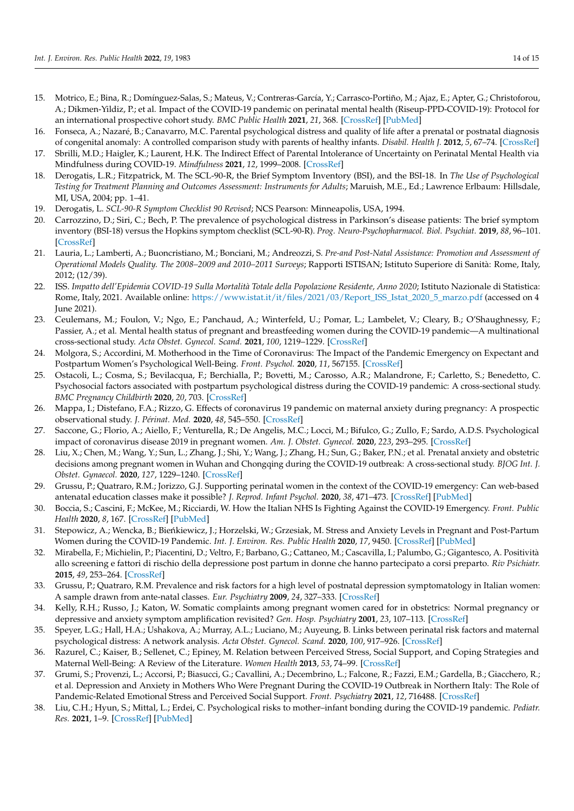- <span id="page-13-0"></span>15. Motrico, E.; Bina, R.; Domínguez-Salas, S.; Mateus, V.; Contreras-García, Y.; Carrasco-Portiño, M.; Ajaz, E.; Apter, G.; Christoforou, A.; Dikmen-Yildiz, P.; et al. Impact of the COVID-19 pandemic on perinatal mental health (Riseup-PPD-COVID-19): Protocol for an international prospective cohort study. *BMC Public Health* **2021**, *21*, 368. [\[CrossRef\]](http://doi.org/10.1186/s12889-021-10330-w) [\[PubMed\]](http://www.ncbi.nlm.nih.gov/pubmed/33596889)
- <span id="page-13-1"></span>16. Fonseca, A.; Nazaré, B.; Canavarro, M.C. Parental psychological distress and quality of life after a prenatal or postnatal diagnosis of congenital anomaly: A controlled comparison study with parents of healthy infants. *Disabil. Health J.* **2012**, *5*, 67–74. [\[CrossRef\]](http://doi.org/10.1016/j.dhjo.2011.11.001)
- <span id="page-13-2"></span>17. Sbrilli, M.D.; Haigler, K.; Laurent, H.K. The Indirect Effect of Parental Intolerance of Uncertainty on Perinatal Mental Health via Mindfulness during COVID-19. *Mindfulness* **2021**, *12*, 1999–2008. [\[CrossRef\]](http://doi.org/10.1007/s12671-021-01657-x)
- <span id="page-13-3"></span>18. Derogatis, L.R.; Fitzpatrick, M. The SCL-90-R, the Brief Symptom Inventory (BSI), and the BSI-18. In *The Use of Psychological* Testing for Treatment Planning and Outcomes Assessment: Instruments for Adults; Maruish, M.E., Ed.; Lawrence Erlbaum: Hillsdale, MI, USA, 2004; pp. 1–41.
- <span id="page-13-4"></span>19. Derogatis, L. *SCL-90-R Symptom Checklist 90 Revised*; NCS Pearson: Minneapolis, USA, 1994.
- <span id="page-13-5"></span>20. Carrozzino, D.; Siri, C.; Bech, P. The prevalence of psychological distress in Parkinson's disease patients: The brief symptom inventory (BSI-18) versus the Hopkins symptom checklist (SCL-90-R). *Prog. Neuro-Psychopharmacol. Biol. Psychiat.* **2019**, *88*, 96–101. [\[CrossRef\]](http://doi.org/10.1016/j.pnpbp.2018.07.012)
- <span id="page-13-6"></span>21. Lauria, L.; Lamberti, A.; Buoncristiano, M.; Bonciani, M.; Andreozzi, S. *Pre-and Post-Natal Assistance: Promotion and Assessment of Operational Models Quality. The 2008–2009 and 2010–2011 Surveys*; Rapporti ISTISAN; Istituto Superiore di Sanità: Rome, Italy, 2012; (12/39).
- <span id="page-13-7"></span>22. ISS. *Impatto dell'Epidemia COVID-19 Sulla Mortalità Totale della Popolazione Residente, Anno 2020*; Istituto Nazionale di Statistica: Rome, Italy, 2021. Available online: [https://www.istat.it/it/files/2021/03/Report\\_ISS\\_Istat\\_2020\\_5\\_marzo.pdf](https://www.istat.it/it/files/2021/03/Report_ISS_Istat_2020_5_marzo.pdf) (accessed on 4 June 2021).
- <span id="page-13-8"></span>23. Ceulemans, M.; Foulon, V.; Ngo, E.; Panchaud, A.; Winterfeld, U.; Pomar, L.; Lambelet, V.; Cleary, B.; O'Shaughnessy, F.; Passier, A.; et al. Mental health status of pregnant and breastfeeding women during the COVID-19 pandemic—A multinational cross-sectional study. *Acta Obstet. Gynecol. Scand.* **2021**, *100*, 1219–1229. [\[CrossRef\]](http://doi.org/10.1111/aogs.14092)
- <span id="page-13-9"></span>24. Molgora, S.; Accordini, M. Motherhood in the Time of Coronavirus: The Impact of the Pandemic Emergency on Expectant and Postpartum Women's Psychological Well-Being. *Front. Psychol.* **2020**, *11*, 567155. [\[CrossRef\]](http://doi.org/10.3389/fpsyg.2020.567155)
- <span id="page-13-10"></span>25. Ostacoli, L.; Cosma, S.; Bevilacqua, F.; Berchialla, P.; Bovetti, M.; Carosso, A.R.; Malandrone, F.; Carletto, S.; Benedetto, C. Psychosocial factors associated with postpartum psychological distress during the COVID-19 pandemic: A cross-sectional study. *BMC Pregnancy Childbirth* **2020**, *20*, 703. [\[CrossRef\]](http://doi.org/10.1186/s12884-020-03399-5)
- <span id="page-13-11"></span>26. Mappa, I.; Distefano, F.A.; Rizzo, G. Effects of coronavirus 19 pandemic on maternal anxiety during pregnancy: A prospectic observational study. *J. Périnat. Med.* **2020**, *48*, 545–550. [\[CrossRef\]](http://doi.org/10.1515/jpm-2020-0182)
- <span id="page-13-12"></span>27. Saccone, G.; Florio, A.; Aiello, F.; Venturella, R.; De Angelis, M.C.; Locci, M.; Bifulco, G.; Zullo, F.; Sardo, A.D.S. Psychological impact of coronavirus disease 2019 in pregnant women. *Am. J. Obstet. Gynecol.* **2020**, *223*, 293–295. [\[CrossRef\]](http://doi.org/10.1016/j.ajog.2020.05.003)
- <span id="page-13-13"></span>28. Liu, X.; Chen, M.; Wang, Y.; Sun, L.; Zhang, J.; Shi, Y.; Wang, J.; Zhang, H.; Sun, G.; Baker, P.N.; et al. Prenatal anxiety and obstetric decisions among pregnant women in Wuhan and Chongqing during the COVID-19 outbreak: A cross-sectional study. *BJOG Int. J. Obstet. Gynaecol.* **2020**, *127*, 1229–1240. [\[CrossRef\]](http://doi.org/10.1111/1471-0528.16381)
- <span id="page-13-14"></span>29. Grussu, P.; Quatraro, R.M.; Jorizzo, G.J. Supporting perinatal women in the context of the COVID-19 emergency: Can web-based antenatal education classes make it possible? *J. Reprod. Infant Psychol.* **2020**, *38*, 471–473. [\[CrossRef\]](http://doi.org/10.1080/02646838.2020.1834261) [\[PubMed\]](http://www.ncbi.nlm.nih.gov/pubmed/33073593)
- <span id="page-13-15"></span>30. Boccia, S.; Cascini, F.; McKee, M.; Ricciardi, W. How the Italian NHS Is Fighting Against the COVID-19 Emergency. *Front. Public Health* **2020**, *8*, 167. [\[CrossRef\]](http://doi.org/10.3389/fpubh.2020.00167) [\[PubMed\]](http://www.ncbi.nlm.nih.gov/pubmed/32573563)
- <span id="page-13-16"></span>31. Stepowicz, A.; Wencka, B.; Bieńkiewicz, J.; Horzelski, W.; Grzesiak, M. Stress and Anxiety Levels in Pregnant and Post-Partum Women during the COVID-19 Pandemic. *Int. J. Environ. Res. Public Health* **2020**, *17*, 9450. [\[CrossRef\]](http://doi.org/10.3390/ijerph17249450) [\[PubMed\]](http://www.ncbi.nlm.nih.gov/pubmed/33348568)
- <span id="page-13-17"></span>32. Mirabella, F.; Michielin, P.; Piacentini, D.; Veltro, F.; Barbano, G.; Cattaneo, M.; Cascavilla, I.; Palumbo, G.; Gigantesco, A. Positività allo screening e fattori di rischio della depressione post partum in donne che hanno partecipato a corsi preparto. *Riv Psichiatr.* **2015**, *49*, 253–264. [\[CrossRef\]](http://doi.org/10.1708/1766.19126)
- <span id="page-13-18"></span>33. Grussu, P.; Quatraro, R.M. Prevalence and risk factors for a high level of postnatal depression symptomatology in Italian women: A sample drawn from ante-natal classes. *Eur. Psychiatry* **2009**, *24*, 327–333. [\[CrossRef\]](http://doi.org/10.1016/j.eurpsy.2009.01.006)
- <span id="page-13-19"></span>34. Kelly, R.H.; Russo, J.; Katon, W. Somatic complaints among pregnant women cared for in obstetrics: Normal pregnancy or depressive and anxiety symptom amplification revisited? *Gen. Hosp. Psychiatry* **2001**, *23*, 107–113. [\[CrossRef\]](http://doi.org/10.1016/S0163-8343(01)00129-3)
- <span id="page-13-20"></span>35. Speyer, L.G.; Hall, H.A.; Ushakova, A.; Murray, A.L.; Luciano, M.; Auyeung, B. Links between perinatal risk factors and maternal psychological distress: A network analysis. *Acta Obstet. Gynecol. Scand.* **2020**, *100*, 917–926. [\[CrossRef\]](http://doi.org/10.1111/aogs.14056)
- <span id="page-13-21"></span>36. Razurel, C.; Kaiser, B.; Sellenet, C.; Epiney, M. Relation between Perceived Stress, Social Support, and Coping Strategies and Maternal Well-Being: A Review of the Literature. *Women Health* **2013**, *53*, 74–99. [\[CrossRef\]](http://doi.org/10.1080/03630242.2012.732681)
- <span id="page-13-22"></span>37. Grumi, S.; Provenzi, L.; Accorsi, P.; Biasucci, G.; Cavallini, A.; Decembrino, L.; Falcone, R.; Fazzi, E.M.; Gardella, B.; Giacchero, R.; et al. Depression and Anxiety in Mothers Who Were Pregnant During the COVID-19 Outbreak in Northern Italy: The Role of Pandemic-Related Emotional Stress and Perceived Social Support. *Front. Psychiatry* **2021**, *12*, 716488. [\[CrossRef\]](http://doi.org/10.3389/fpsyt.2021.716488)
- <span id="page-13-23"></span>38. Liu, C.H.; Hyun, S.; Mittal, L.; Erdei, C. Psychological risks to mother–infant bonding during the COVID-19 pandemic. *Pediatr. Res.* **2021**, 1–9. [\[CrossRef\]](http://doi.org/10.1038/s41390-021-01751-9) [\[PubMed\]](http://www.ncbi.nlm.nih.gov/pubmed/34645943)